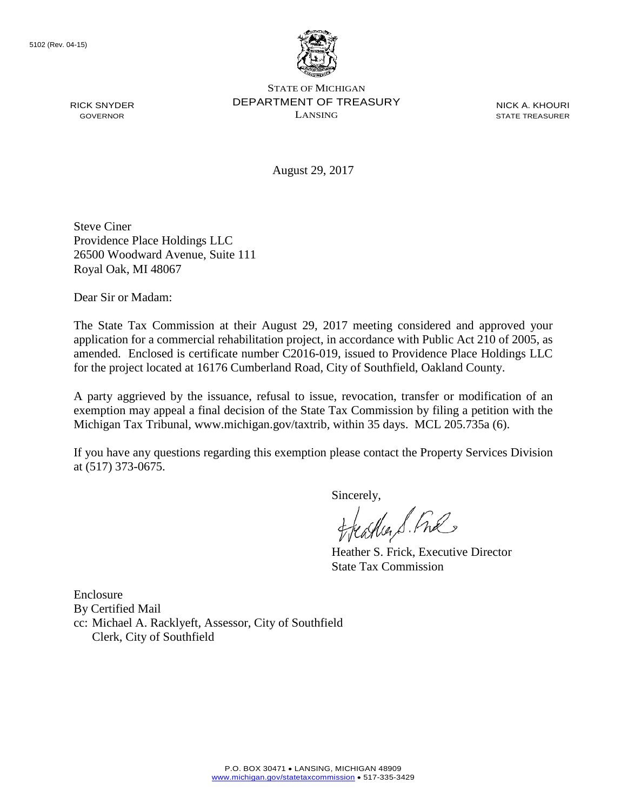

STATE OF MICHIGAN DEPARTMENT OF TREASURY LANSING

NICK A. KHOURI STATE TREASURER

August 29, 2017

Steve Ciner Providence Place Holdings LLC 26500 Woodward Avenue, Suite 111 Royal Oak, MI 48067

Dear Sir or Madam:

The State Tax Commission at their August 29, 2017 meeting considered and approved your application for a commercial rehabilitation project, in accordance with Public Act 210 of 2005, as amended. Enclosed is certificate number C2016-019, issued to Providence Place Holdings LLC for the project located at 16176 Cumberland Road, City of Southfield, Oakland County.

A party aggrieved by the issuance, refusal to issue, revocation, transfer or modification of an exemption may appeal a final decision of the State Tax Commission by filing a petition with the Michigan Tax Tribunal, www.michigan.gov/taxtrib, within 35 days. MCL 205.735a (6).

If you have any questions regarding this exemption please contact the Property Services Division at (517) 373-0675.

sincerely,<br>freather & Ful

Heather S. Frick, Executive Director State Tax Commission

Enclosure By Certified Mail cc: Michael A. Racklyeft, Assessor, City of Southfield Clerk, City of Southfield

RICK SNYDER GOVERNOR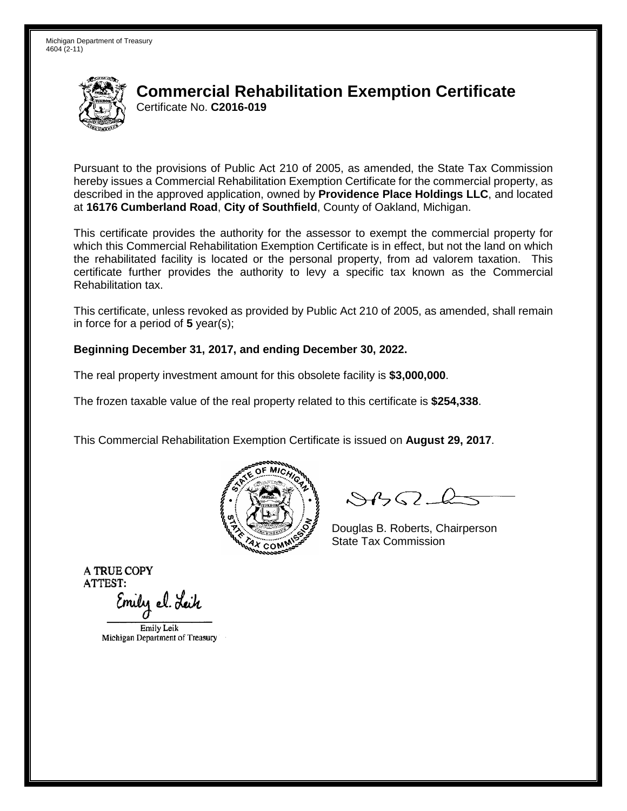

# **Commercial Rehabilitation Exemption Certificate** Certificate No. **C2016-019**

Pursuant to the provisions of Public Act 210 of 2005, as amended, the State Tax Commission hereby issues a Commercial Rehabilitation Exemption Certificate for the commercial property, as described in the approved application, owned by **Providence Place Holdings LLC**, and located at **16176 Cumberland Road**, **City of Southfield**, County of Oakland, Michigan.

This certificate provides the authority for the assessor to exempt the commercial property for which this Commercial Rehabilitation Exemption Certificate is in effect, but not the land on which the rehabilitated facility is located or the personal property, from ad valorem taxation. This certificate further provides the authority to levy a specific tax known as the Commercial Rehabilitation tax.

This certificate, unless revoked as provided by Public Act 210 of 2005, as amended, shall remain in force for a period of **5** year(s);

#### **Beginning December 31, 2017, and ending December 30, 2022.**

The real property investment amount for this obsolete facility is **\$3,000,000**.

The frozen taxable value of the real property related to this certificate is **\$254,338**.

This Commercial Rehabilitation Exemption Certificate is issued on **August 29, 2017**.



 $84562-6$ 

Douglas B. Roberts, Chairperson State Tax Commission

Emily Leik Michigan Department of Treasury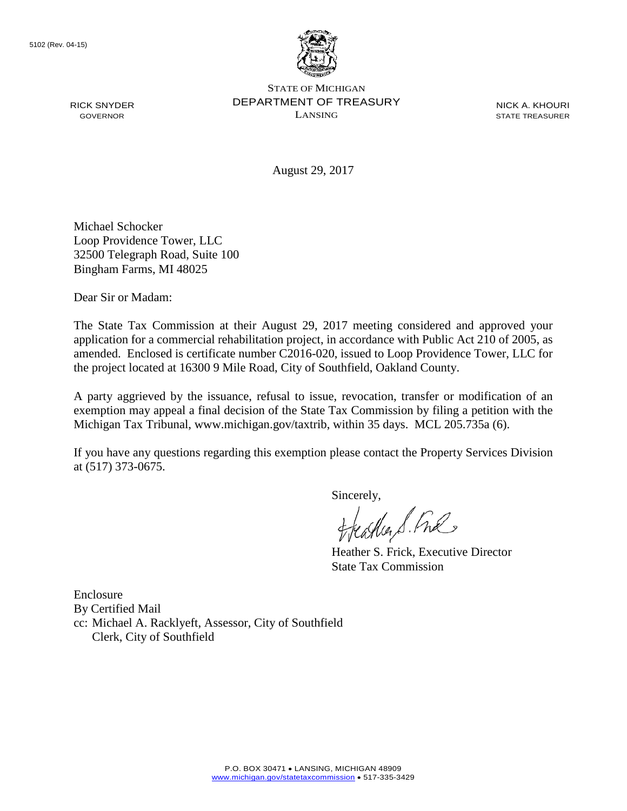

STATE OF MICHIGAN DEPARTMENT OF TREASURY LANSING

NICK A. KHOURI STATE TREASURER

August 29, 2017

Michael Schocker Loop Providence Tower, LLC 32500 Telegraph Road, Suite 100 Bingham Farms, MI 48025

Dear Sir or Madam:

The State Tax Commission at their August 29, 2017 meeting considered and approved your application for a commercial rehabilitation project, in accordance with Public Act 210 of 2005, as amended. Enclosed is certificate number C2016-020, issued to Loop Providence Tower, LLC for the project located at 16300 9 Mile Road, City of Southfield, Oakland County.

A party aggrieved by the issuance, refusal to issue, revocation, transfer or modification of an exemption may appeal a final decision of the State Tax Commission by filing a petition with the Michigan Tax Tribunal, www.michigan.gov/taxtrib, within 35 days. MCL 205.735a (6).

If you have any questions regarding this exemption please contact the Property Services Division at (517) 373-0675.

sincerely,<br>freather & Ful

Heather S. Frick, Executive Director State Tax Commission

Enclosure By Certified Mail cc: Michael A. Racklyeft, Assessor, City of Southfield Clerk, City of Southfield

RICK SNYDER GOVERNOR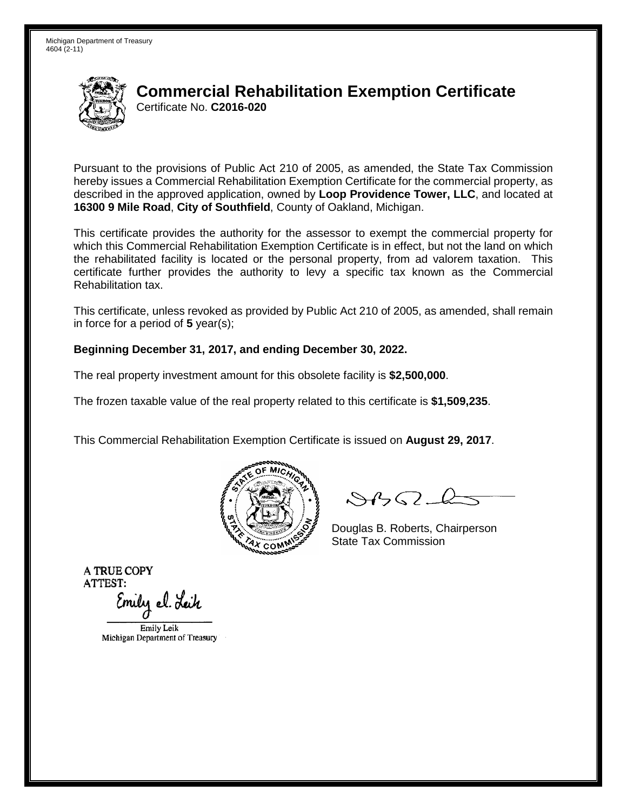

# **Commercial Rehabilitation Exemption Certificate** Certificate No. **C2016-020**

Pursuant to the provisions of Public Act 210 of 2005, as amended, the State Tax Commission hereby issues a Commercial Rehabilitation Exemption Certificate for the commercial property, as described in the approved application, owned by **Loop Providence Tower, LLC**, and located at **16300 9 Mile Road**, **City of Southfield**, County of Oakland, Michigan.

This certificate provides the authority for the assessor to exempt the commercial property for which this Commercial Rehabilitation Exemption Certificate is in effect, but not the land on which the rehabilitated facility is located or the personal property, from ad valorem taxation. This certificate further provides the authority to levy a specific tax known as the Commercial Rehabilitation tax.

This certificate, unless revoked as provided by Public Act 210 of 2005, as amended, shall remain in force for a period of **5** year(s);

### **Beginning December 31, 2017, and ending December 30, 2022.**

The real property investment amount for this obsolete facility is **\$2,500,000**.

The frozen taxable value of the real property related to this certificate is **\$1,509,235**.

This Commercial Rehabilitation Exemption Certificate is issued on **August 29, 2017**.



 $84562-6$ 

Douglas B. Roberts, Chairperson State Tax Commission

Emily Leik Michigan Department of Treasury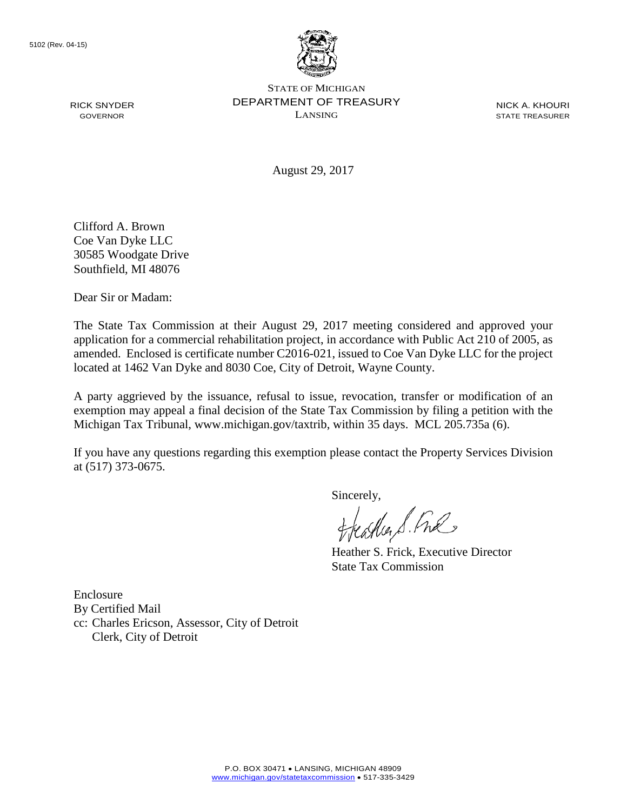RICK SNYDER GOVERNOR



STATE OF MICHIGAN DEPARTMENT OF TREASURY LANSING

NICK A. KHOURI STATE TREASURER

August 29, 2017

Clifford A. Brown Coe Van Dyke LLC 30585 Woodgate Drive Southfield, MI 48076

Dear Sir or Madam:

The State Tax Commission at their August 29, 2017 meeting considered and approved your application for a commercial rehabilitation project, in accordance with Public Act 210 of 2005, as amended. Enclosed is certificate number C2016-021, issued to Coe Van Dyke LLC for the project located at 1462 Van Dyke and 8030 Coe, City of Detroit, Wayne County.

A party aggrieved by the issuance, refusal to issue, revocation, transfer or modification of an exemption may appeal a final decision of the State Tax Commission by filing a petition with the Michigan Tax Tribunal, www.michigan.gov/taxtrib, within 35 days. MCL 205.735a (6).

If you have any questions regarding this exemption please contact the Property Services Division at (517) 373-0675.

sincerely,<br>freather & Ful

Heather S. Frick, Executive Director State Tax Commission

Enclosure By Certified Mail cc: Charles Ericson, Assessor, City of Detroit Clerk, City of Detroit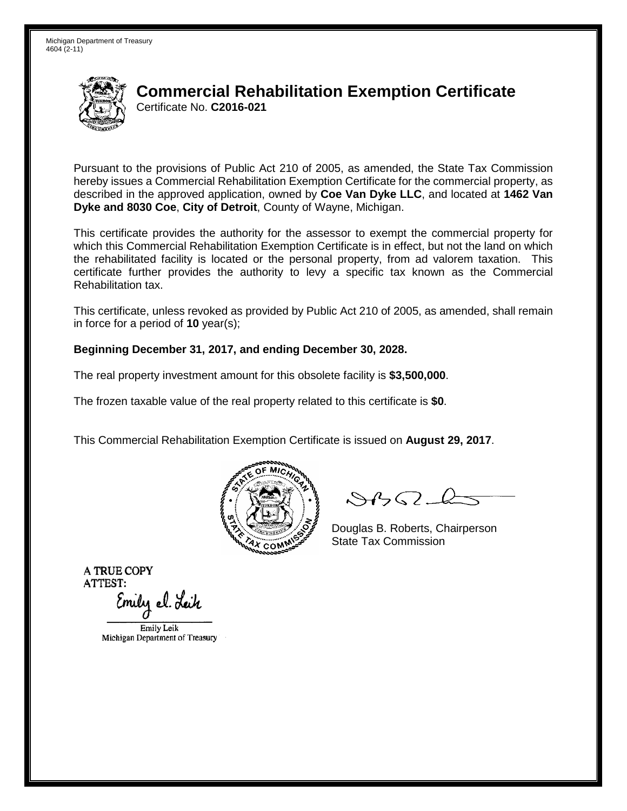

# **Commercial Rehabilitation Exemption Certificate** Certificate No. **C2016-021**

Pursuant to the provisions of Public Act 210 of 2005, as amended, the State Tax Commission hereby issues a Commercial Rehabilitation Exemption Certificate for the commercial property, as described in the approved application, owned by **Coe Van Dyke LLC**, and located at **1462 Van Dyke and 8030 Coe**, **City of Detroit**, County of Wayne, Michigan.

This certificate provides the authority for the assessor to exempt the commercial property for which this Commercial Rehabilitation Exemption Certificate is in effect, but not the land on which the rehabilitated facility is located or the personal property, from ad valorem taxation. This certificate further provides the authority to levy a specific tax known as the Commercial Rehabilitation tax.

This certificate, unless revoked as provided by Public Act 210 of 2005, as amended, shall remain in force for a period of **10** year(s);

### **Beginning December 31, 2017, and ending December 30, 2028.**

The real property investment amount for this obsolete facility is **\$3,500,000**.

The frozen taxable value of the real property related to this certificate is **\$0**.

This Commercial Rehabilitation Exemption Certificate is issued on **August 29, 2017**.



 $84562-6$ 

Douglas B. Roberts, Chairperson State Tax Commission

Emily Leik Michigan Department of Treasury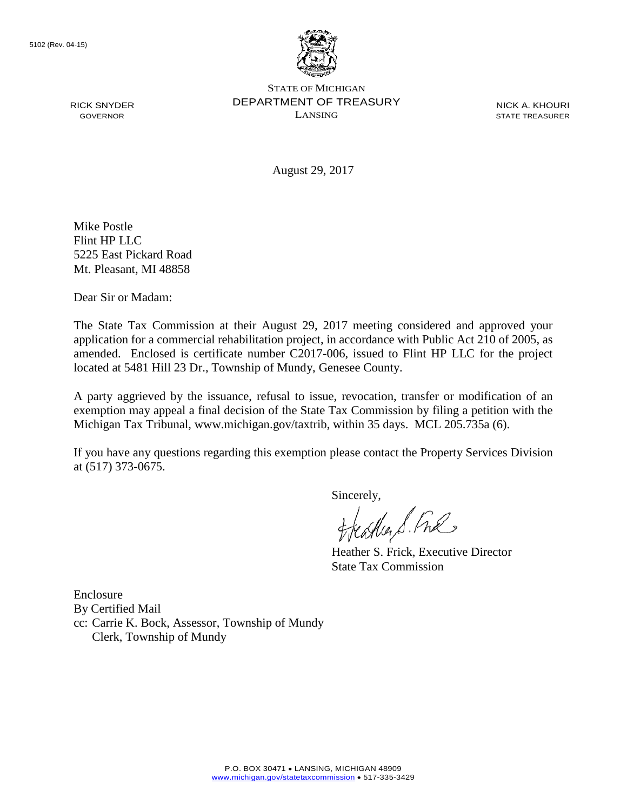RICK SNYDER GOVERNOR



STATE OF MICHIGAN DEPARTMENT OF TREASURY LANSING

NICK A. KHOURI STATE TREASURER

August 29, 2017

Mike Postle Flint HP LLC 5225 East Pickard Road Mt. Pleasant, MI 48858

Dear Sir or Madam:

The State Tax Commission at their August 29, 2017 meeting considered and approved your application for a commercial rehabilitation project, in accordance with Public Act 210 of 2005, as amended. Enclosed is certificate number C2017-006, issued to Flint HP LLC for the project located at 5481 Hill 23 Dr., Township of Mundy, Genesee County.

A party aggrieved by the issuance, refusal to issue, revocation, transfer or modification of an exemption may appeal a final decision of the State Tax Commission by filing a petition with the Michigan Tax Tribunal, www.michigan.gov/taxtrib, within 35 days. MCL 205.735a (6).

If you have any questions regarding this exemption please contact the Property Services Division at (517) 373-0675.

sincerely,<br>freather & Ful

Heather S. Frick, Executive Director State Tax Commission

Enclosure By Certified Mail cc: Carrie K. Bock, Assessor, Township of Mundy Clerk, Township of Mundy